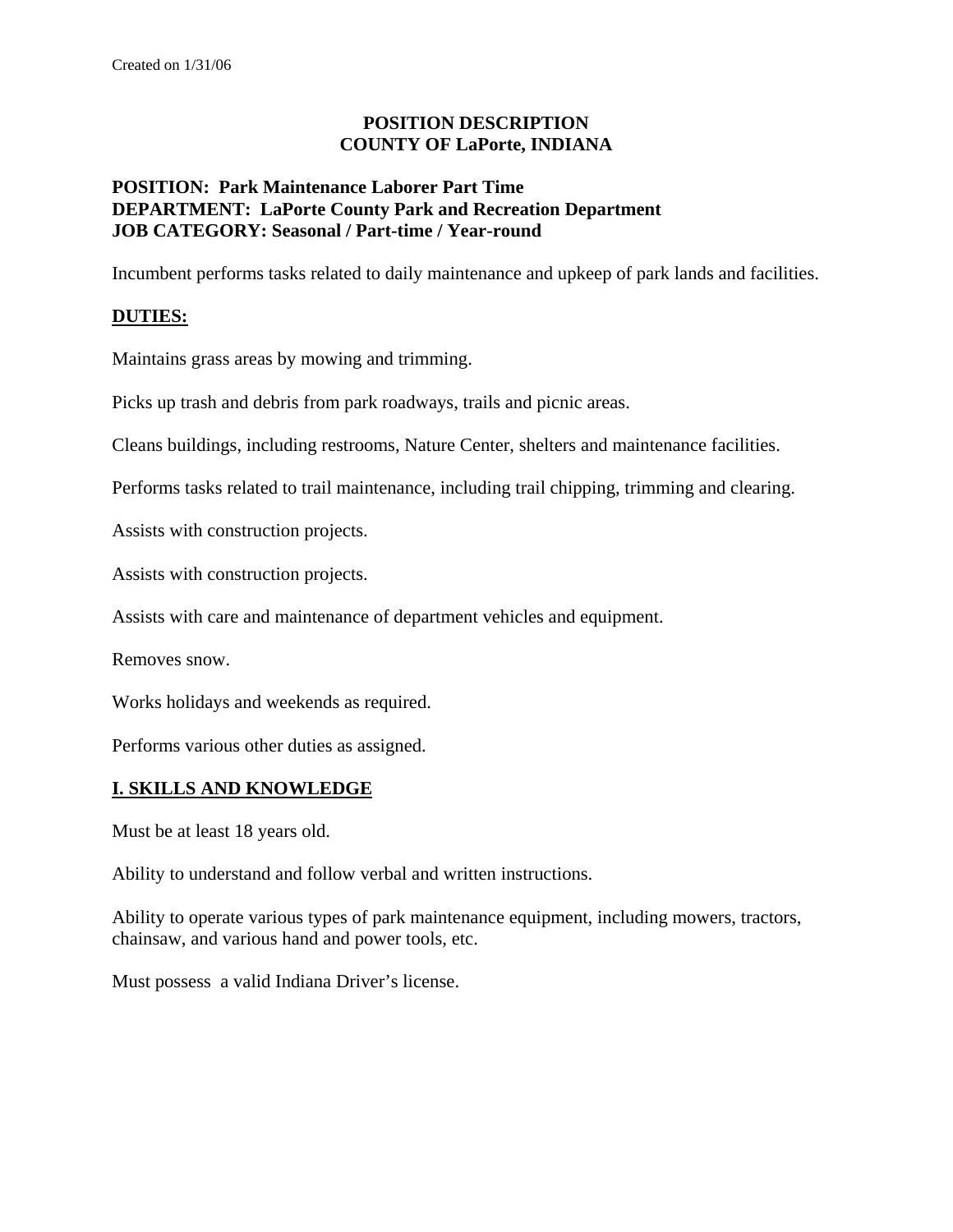### **POSITION DESCRIPTION COUNTY OF LaPorte, INDIANA**

### **POSITION: Park Maintenance Laborer Part Time DEPARTMENT: LaPorte County Park and Recreation Department JOB CATEGORY: Seasonal / Part-time / Year-round**

Incumbent performs tasks related to daily maintenance and upkeep of park lands and facilities.

## **DUTIES:**

Maintains grass areas by mowing and trimming.

Picks up trash and debris from park roadways, trails and picnic areas.

Cleans buildings, including restrooms, Nature Center, shelters and maintenance facilities.

Performs tasks related to trail maintenance, including trail chipping, trimming and clearing.

Assists with construction projects.

Assists with construction projects.

Assists with care and maintenance of department vehicles and equipment.

Removes snow.

Works holidays and weekends as required.

Performs various other duties as assigned.

### **I. SKILLS AND KNOWLEDGE**

Must be at least 18 years old.

Ability to understand and follow verbal and written instructions.

Ability to operate various types of park maintenance equipment, including mowers, tractors, chainsaw, and various hand and power tools, etc.

Must possess a valid Indiana Driver's license.